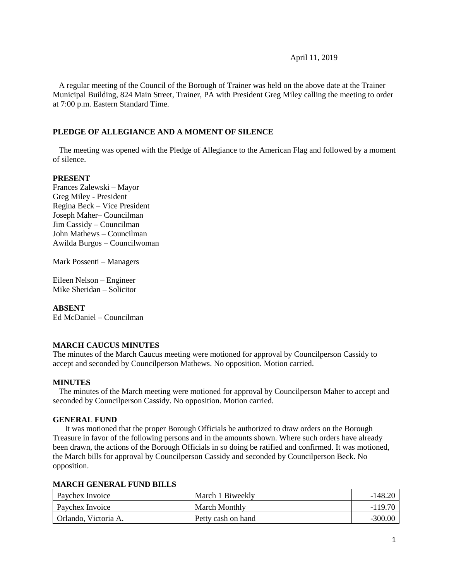#### April 11, 2019

 A regular meeting of the Council of the Borough of Trainer was held on the above date at the Trainer Municipal Building, 824 Main Street, Trainer, PA with President Greg Miley calling the meeting to order at 7:00 p.m. Eastern Standard Time.

### **PLEDGE OF ALLEGIANCE AND A MOMENT OF SILENCE**

 The meeting was opened with the Pledge of Allegiance to the American Flag and followed by a moment of silence.

#### **PRESENT**

Frances Zalewski – Mayor Greg Miley - President Regina Beck – Vice President Joseph Maher– Councilman Jim Cassidy – Councilman John Mathews – Councilman Awilda Burgos – Councilwoman

Mark Possenti – Managers

Eileen Nelson – Engineer Mike Sheridan – Solicitor

#### **ABSENT**

Ed McDaniel – Councilman

# **MARCH CAUCUS MINUTES**

The minutes of the March Caucus meeting were motioned for approval by Councilperson Cassidy to accept and seconded by Councilperson Mathews. No opposition. Motion carried.

#### **MINUTES**

The minutes of the March meeting were motioned for approval by Councilperson Maher to accept and seconded by Councilperson Cassidy. No opposition. Motion carried.

#### **GENERAL FUND**

 It was motioned that the proper Borough Officials be authorized to draw orders on the Borough Treasure in favor of the following persons and in the amounts shown. Where such orders have already been drawn, the actions of the Borough Officials in so doing be ratified and confirmed. It was motioned, the March bills for approval by Councilperson Cassidy and seconded by Councilperson Beck. No opposition.

#### **MARCH GENERAL FUND BILLS**

| Paychex Invoice      | March 1 Biweekly   | $-148.20$ |
|----------------------|--------------------|-----------|
| Paychex Invoice      | March Monthly      | $-119.70$ |
| Orlando, Victoria A. | Petty cash on hand | $-300.00$ |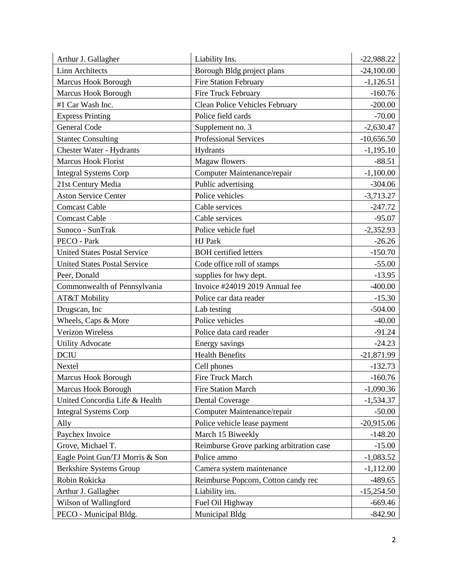| Arthur J. Gallagher                 | Liability Ins.                           | $-22,988.22$ |
|-------------------------------------|------------------------------------------|--------------|
| <b>Linn Architects</b>              | Borough Bldg project plans               | $-24,100.00$ |
| <b>Marcus Hook Borough</b>          | <b>Fire Station February</b>             | $-1,126.51$  |
| Marcus Hook Borough                 | Fire Truck February                      | $-160.76$    |
| #1 Car Wash Inc.                    | Clean Police Vehicles February           | $-200.00$    |
| <b>Express Printing</b>             | Police field cards                       | $-70.00$     |
| <b>General Code</b>                 | Supplement no. 3                         | $-2,630.47$  |
| <b>Stantec Consulting</b>           | <b>Professional Services</b>             | $-10,656.50$ |
| Chester Water - Hydrants            | Hydrants                                 | $-1,195.10$  |
| Marcus Hook Florist                 | Magaw flowers                            | $-88.51$     |
| <b>Integral Systems Corp</b>        | Computer Maintenance/repair              | $-1,100.00$  |
| 21st Century Media                  | Public advertising                       | $-304.06$    |
| <b>Aston Service Center</b>         | Police vehicles                          | $-3,713.27$  |
| <b>Comcast Cable</b>                | Cable services                           | $-247.72$    |
| <b>Comcast Cable</b>                | Cable services                           | $-95.07$     |
| Sunoco - SunTrak                    | Police vehicle fuel                      | $-2,352.93$  |
| PECO - Park                         | HJ Park                                  | $-26.26$     |
| <b>United States Postal Service</b> | <b>BOH</b> certified letters             | $-150.70$    |
| <b>United States Postal Service</b> | Code office roll of stamps               | $-55.00$     |
| Peer, Donald                        | supplies for hwy dept.                   | $-13.95$     |
| Commonwealth of Pennsylvania        | Invoice #24019 2019 Annual fee           | $-400.00$    |
| AT&T Mobility                       | Police car data reader                   | $-15.30$     |
| Drugscan, Inc                       | Lab testing                              | $-504.00$    |
| Wheels, Caps & More                 | Police vehicles                          | $-40.00$     |
| Verizon Wireless                    | Police data card reader                  | $-91.24$     |
| <b>Utility Advocate</b>             | Energy savings                           | $-24.23$     |
| <b>DCIU</b>                         | <b>Health Benefits</b>                   | $-21,871.99$ |
| Nextel                              | Cell phones                              | $-132.73$    |
| <b>Marcus Hook Borough</b>          | Fire Truck March                         | $-160.76$    |
| <b>Marcus Hook Borough</b>          | <b>Fire Station March</b>                | $-1,090.36$  |
| United Concordia Life & Health      | <b>Dental Coverage</b>                   | $-1,534.37$  |
| <b>Integral Systems Corp</b>        | Computer Maintenance/repair              | $-50.00$     |
| Ally                                | Police vehicle lease payment             | $-20,915.06$ |
| Paychex Invoice                     | March 15 Biweekly                        | $-148.20$    |
| Grove, Michael T.                   | Reimburse Grove parking arbitration case | $-15.00$     |
| Eagle Point Gun/TJ Morris & Son     | Police ammo                              | $-1,083.52$  |
| <b>Berkshire Systems Group</b>      | Camera system maintenance                | $-1,112.00$  |
| Robin Rokicka                       | Reimburse Popcorn, Cotton candy rec      | $-489.65$    |
| Arthur J. Gallagher                 | Liability ins.                           | $-15,254.50$ |
| Wilson of Wallingford               | Fuel Oil Highway                         | $-669.46$    |
| PECO - Municipal Bldg.              | Municipal Bldg                           | $-842.90$    |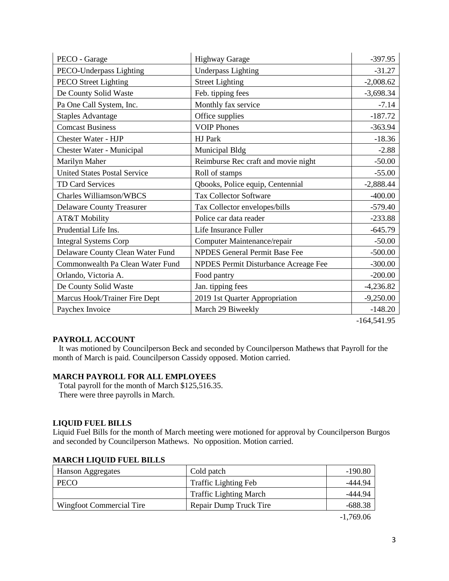| PECO - Garage                       | <b>Highway Garage</b>                | $-397.95$   |
|-------------------------------------|--------------------------------------|-------------|
| PECO-Underpass Lighting             | <b>Underpass Lighting</b>            | $-31.27$    |
| <b>PECO</b> Street Lighting         | <b>Street Lighting</b>               | $-2,008.62$ |
| De County Solid Waste               | Feb. tipping fees                    | $-3,698.34$ |
| Pa One Call System, Inc.            | Monthly fax service                  | $-7.14$     |
| <b>Staples Advantage</b>            | Office supplies                      | $-187.72$   |
| <b>Comcast Business</b>             | <b>VOIP Phones</b>                   | $-363.94$   |
| <b>Chester Water - HJP</b>          | HJ Park                              | $-18.36$    |
| <b>Chester Water - Municipal</b>    | Municipal Bldg                       | $-2.88$     |
| Marilyn Maher                       | Reimburse Rec craft and movie night  | $-50.00$    |
| <b>United States Postal Service</b> | Roll of stamps                       | $-55.00$    |
| <b>TD Card Services</b>             | Qbooks, Police equip, Centennial     | $-2,888.44$ |
| <b>Charles Williamson/WBCS</b>      | <b>Tax Collector Software</b>        | $-400.00$   |
| <b>Delaware County Treasurer</b>    | Tax Collector envelopes/bills        | $-579.40$   |
| AT&T Mobility                       | Police car data reader               | $-233.88$   |
| Prudential Life Ins.                | Life Insurance Fuller                | $-645.79$   |
| <b>Integral Systems Corp</b>        | Computer Maintenance/repair          | $-50.00$    |
| Delaware County Clean Water Fund    | <b>NPDES General Permit Base Fee</b> | $-500.00$   |
| Commonwealth Pa Clean Water Fund    | NPDES Permit Disturbance Acreage Fee | $-300.00$   |
| Orlando, Victoria A.                | Food pantry                          | $-200.00$   |
| De County Solid Waste               | Jan. tipping fees                    | $-4,236.82$ |
| Marcus Hook/Trainer Fire Dept       | 2019 1st Quarter Appropriation       | $-9,250.00$ |
| Paychex Invoice                     | March 29 Biweekly                    | $-148.20$   |

-164,541.95

# **PAYROLL ACCOUNT**

 It was motioned by Councilperson Beck and seconded by Councilperson Mathews that Payroll for the month of March is paid. Councilperson Cassidy opposed. Motion carried.

# **MARCH PAYROLL FOR ALL EMPLOYEES**

 Total payroll for the month of March \$125,516.35. There were three payrolls in March.

# **LIQUID FUEL BILLS**

Liquid Fuel Bills for the month of March meeting were motioned for approval by Councilperson Burgos and seconded by Councilperson Mathews. No opposition. Motion carried.

| Hanson Aggregates        | Cold patch                    | $-190.80$ |
|--------------------------|-------------------------------|-----------|
| <b>PECO</b>              | <b>Traffic Lighting Feb</b>   | -444.94   |
|                          | <b>Traffic Lighting March</b> | -444.94   |
| Wingfoot Commercial Tire | Repair Dump Truck Tire        | $-688.38$ |
|                          |                               |           |

# **MARCH LIQUID FUEL BILLS**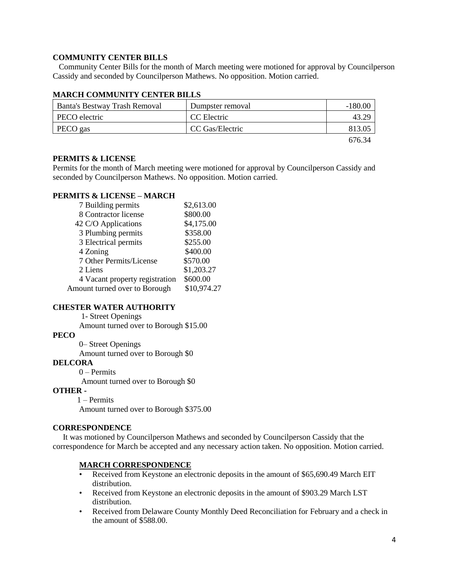# **COMMUNITY CENTER BILLS**

 Community Center Bills for the month of March meeting were motioned for approval by Councilperson Cassidy and seconded by Councilperson Mathews. No opposition. Motion carried.

| Banta's Bestway Trash Removal | Dumpster removal | $-180.00$ |
|-------------------------------|------------------|-----------|
| PECO electric                 | CC Electric      | 43.29     |
| PECO gas                      | CC Gas/Electric  | 813.05    |
|                               |                  | 676.34    |

# **MARCH COMMUNITY CENTER BILLS**

#### **PERMITS & LICENSE**

Permits for the month of March meeting were motioned for approval by Councilperson Cassidy and seconded by Councilperson Mathews. No opposition. Motion carried.

# **PERMITS & LICENSE – MARCH**

| 7 Building permits             | \$2,613.00  |
|--------------------------------|-------------|
| 8 Contractor license           | \$800.00    |
| 42 C/O Applications            | \$4,175.00  |
| 3 Plumbing permits             | \$358.00    |
| 3 Electrical permits           | \$255.00    |
| 4 Zoning                       | \$400.00    |
| 7 Other Permits/License        | \$570.00    |
| 2 Liens                        | \$1,203.27  |
| 4 Vacant property registration | \$600.00    |
| Amount turned over to Borough  | \$10,974.27 |

# **CHESTER WATER AUTHORITY**

1- Street Openings

Amount turned over to Borough \$15.00

# **PECO**

0– Street Openings

Amount turned over to Borough \$0

# **DELCORA**

0 – Permits

Amount turned over to Borough \$0

### **OTHER -**

1 – Permits Amount turned over to Borough \$375.00

#### **CORRESPONDENCE**

 It was motioned by Councilperson Mathews and seconded by Councilperson Cassidy that the correspondence for March be accepted and any necessary action taken. No opposition. Motion carried.

#### **MARCH CORRESPONDENCE**

- Received from Keystone an electronic deposits in the amount of \$65,690.49 March EIT distribution.
- Received from Keystone an electronic deposits in the amount of \$903.29 March LST distribution.
- Received from Delaware County Monthly Deed Reconciliation for February and a check in the amount of \$588.00.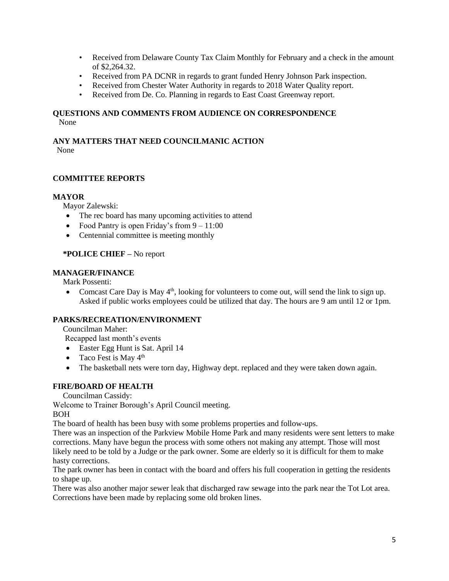- Received from Delaware County Tax Claim Monthly for February and a check in the amount of \$2,264.32.
- Received from PA DCNR in regards to grant funded Henry Johnson Park inspection.
- Received from Chester Water Authority in regards to 2018 Water Quality report.
- Received from De. Co. Planning in regards to East Coast Greenway report.

# **QUESTIONS AND COMMENTS FROM AUDIENCE ON CORRESPONDENCE** None

# **ANY MATTERS THAT NEED COUNCILMANIC ACTION**

None

# **COMMITTEE REPORTS**

# **MAYOR**

Mayor Zalewski:

- The rec board has many upcoming activities to attend
- Food Pantry is open Friday's from  $9 11:00$
- Centennial committee is meeting monthly

# **\*POLICE CHIEF –** No report

# **MANAGER/FINANCE**

Mark Possenti:<br>• Comcast C

Comcast Care Day is May  $4<sup>th</sup>$ , looking for volunteers to come out, will send the link to sign up. Asked if public works employees could be utilized that day. The hours are 9 am until 12 or 1pm.

# **PARKS/RECREATION/ENVIRONMENT**

Councilman Maher:

Recapped last month's events

- Easter Egg Hunt is Sat. April 14
- Taco Fest is May  $4<sup>th</sup>$
- The basketball nets were torn day, Highway dept. replaced and they were taken down again.

# **FIRE/BOARD OF HEALTH**

Councilman Cassidy:

Welcome to Trainer Borough's April Council meeting.

# BOH

The board of health has been busy with some problems properties and follow-ups.

There was an inspection of the Parkview Mobile Home Park and many residents were sent letters to make corrections. Many have begun the process with some others not making any attempt. Those will most likely need to be told by a Judge or the park owner. Some are elderly so it is difficult for them to make hasty corrections.

The park owner has been in contact with the board and offers his full cooperation in getting the residents to shape up.

There was also another major sewer leak that discharged raw sewage into the park near the Tot Lot area. Corrections have been made by replacing some old broken lines.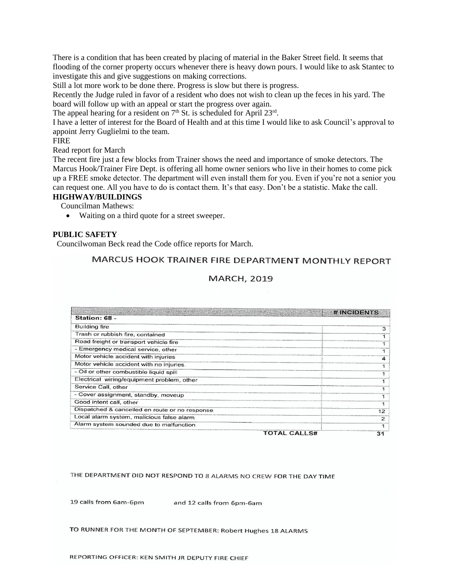There is a condition that has been created by placing of material in the Baker Street field. It seems that flooding of the corner property occurs whenever there is heavy down pours. I would like to ask Stantec to investigate this and give suggestions on making corrections.

Still a lot more work to be done there. Progress is slow but there is progress.

Recently the Judge ruled in favor of a resident who does not wish to clean up the feces in his yard. The board will follow up with an appeal or start the progress over again.

The appeal hearing for a resident on  $7<sup>th</sup>$  St. is scheduled for April 23<sup>rd</sup>.

I have a letter of interest for the Board of Health and at this time I would like to ask Council's approval to appoint Jerry Guglielmi to the team.

FIRE

Read report for March

The recent fire just a few blocks from Trainer shows the need and importance of smoke detectors. The Marcus Hook/Trainer Fire Dept. is offering all home owner seniors who live in their homes to come pick up a FREE smoke detector. The department will even install them for you. Even if you're not a senior you can request one. All you have to do is contact them. It's that easy. Don't be a statistic. Make the call.

**HIGHWAY/BUILDINGS**

Councilman Mathews:

Waiting on a third quote for a street sweeper.

#### **PUBLIC SAFETY**

Councilwoman Beck read the Code office reports for March.

# MARCUS HOOK TRAINER FIRE DEPARTMENT MONTHLY REPORT

# **MARCH, 2019**

|                                                |                     | <b># INGDENIS</b> |
|------------------------------------------------|---------------------|-------------------|
| Station: 68 -                                  |                     |                   |
| <b>Building fire</b>                           |                     |                   |
| Trash or rubbish fire, contained               |                     |                   |
| Road freight or transport vehicle fire         |                     |                   |
| - Emergency medical service, other             |                     |                   |
| Motor vehicle accident with injuries           |                     |                   |
| Motor vehicle accident with no injuries.       |                     |                   |
| - Oil or other combustible liquid spill        |                     |                   |
| Electrical wiring/equipment problem, other     |                     |                   |
| Service Call, other                            |                     |                   |
| - Cover assignment, standby, moveup            |                     |                   |
| Good intent call, other                        |                     |                   |
| Dispatched & cancelled en route or no response |                     |                   |
| Local alarm system, malicious false alarm      |                     |                   |
| Alarm system sounded due to malfunction        |                     |                   |
|                                                | <b>TOTAL CALLS#</b> | 31                |

THE DEPARTMENT DID NOT RESPOND TO 8 ALARMS NO CREW FOR THE DAY TIME

19 calls from 6am-6pm

and 12 calls from 6pm-6am

TO RUNNER FOR THE MONTH OF SEPTEMBER: Robert Hughes 18 ALARMS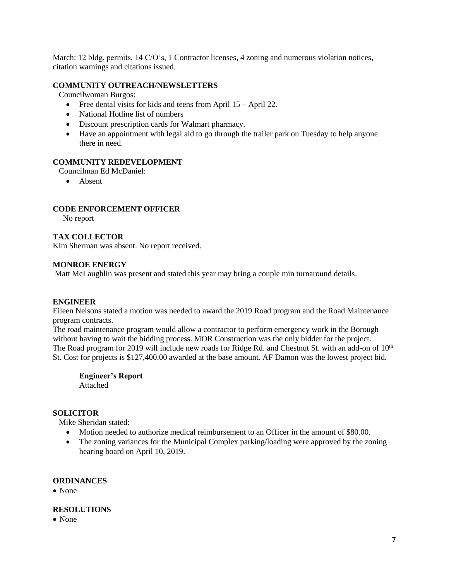March: 12 bldg. permits, 14 C/O's, 1 Contractor licenses, 4 zoning and numerous violation notices, citation warnings and citations issued.

# **COMMUNITY OUTREACH/NEWSLETTERS**

Councilwoman Burgos:

- Free dental visits for kids and teens from April 15 April 22.
- National Hotline list of numbers
- Discount prescription cards for Walmart pharmacy.
- Have an appointment with legal aid to go through the trailer park on Tuesday to help anyone there in need.

# **COMMUNITY REDEVELOPMENT**

Councilman Ed McDaniel:

• Absent

# **CODE ENFORCEMENT OFFICER**

No report

# **TAX COLLECTOR**

Kim Sherman was absent. No report received.

# **MONROE ENERGY**

Matt McLaughlin was present and stated this year may bring a couple min turnaround details.

#### **ENGINEER**

Eileen Nelsons stated a motion was needed to award the 2019 Road program and the Road Maintenance program contracts.

The road maintenance program would allow a contractor to perform emergency work in the Borough without having to wait the bidding process. MOR Construction was the only bidder for the project. The Road program for 2019 will include new roads for Ridge Rd. and Chestnut St. with an add-on of  $10<sup>th</sup>$ St. Cost for projects is \$127,400.00 awarded at the base amount. AF Damon was the lowest project bid.

**Engineer's Report** Attached

# **SOLICITOR**

Mike Sheridan stated:

- Motion needed to authorize medical reimbursement to an Officer in the amount of \$80.00.
- The zoning variances for the Municipal Complex parking/loading were approved by the zoning hearing board on April 10, 2019.

# **ORDINANCES**

None

# **RESOLUTIONS**

None